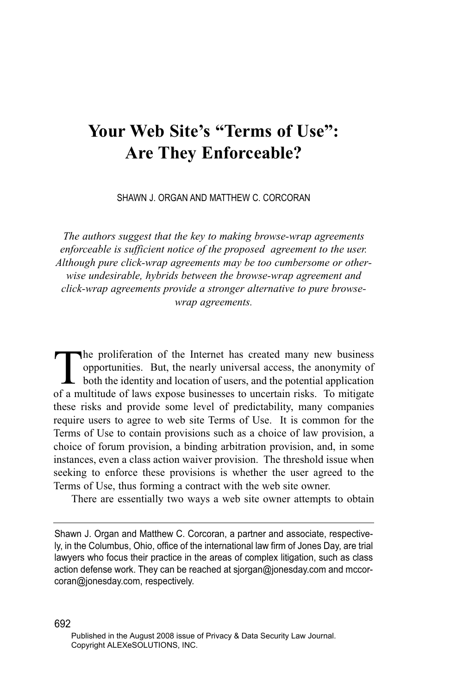# **Your Web Site's "Terms of Use": Are They Enforceable?**

SHAWN J. ORGAN AND MATTHEW C. CORCORAN

*The authors suggest that the key to making browse-wrap agreements enforceable is sufficient notice of the proposed agreement to the user. Although pure click-wrap agreements may be too cumbersome or otherwise undesirable, hybrids between the browse-wrap agreement and click-wrap agreements provide a stronger alternative to pure browsewrap agreements.*

The proliferation of the Internet has created many new business<br>opportunities. But, the nearly universal access, the anonymity of<br>both the identity and location of users, and the potential application<br>of a multitude of law opportunities. But, the nearly universal access, the anonymity of both the identity and location of users, and the potential application of a multitude of laws expose businesses to uncertain risks. To mitigate these risks and provide some level of predictability, many companies require users to agree to web site Terms of Use. It is common for the Terms of Use to contain provisions such as a choice of law provision, a choice of forum provision, a binding arbitration provision, and, in some instances, even a class action waiver provision. The threshold issue when seeking to enforce these provisions is whether the user agreed to the Terms of Use, thus forming a contract with the web site owner.

There are essentially two ways a web site owner attempts to obtain

Shawn J. Organ and Matthew C. Corcoran, a partner and associate, respectively, in the Columbus, Ohio, office of the international law firm of Jones Day, are trial lawyers who focus their practice in the areas of complex litigation, such as class action defense work. They can be reached at sjorgan@jonesday.com and mccorcoran@jonesday.com, respectively.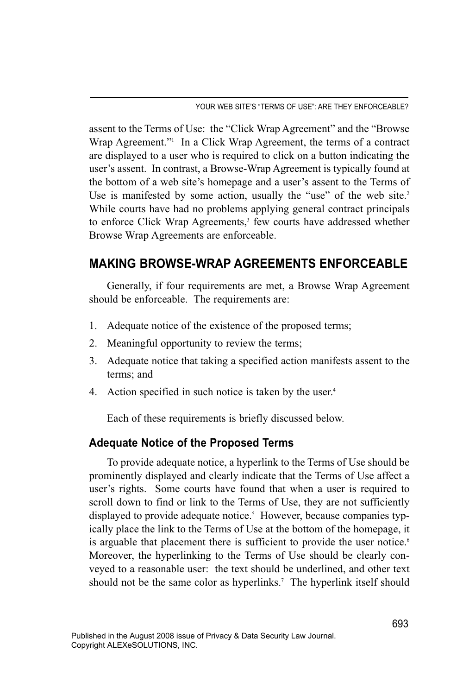YOUR WEB SITE'S "TERMS OF USE": ARE THEY ENFORCEABLE?

assent to the Terms of Use: the "Click Wrap Agreement" and the "Browse Wrap Agreement."<sup>1</sup> In a Click Wrap Agreement, the terms of a contract are displayed to a user who is required to click on a button indicating the user's assent. In contrast, a Browse-Wrap Agreement is typically found at the bottom of a web site's homepage and a user's assent to the Terms of Use is manifested by some action, usually the "use" of the web site.<sup>2</sup> While courts have had no problems applying general contract principals to enforce Click Wrap Agreements,<sup>3</sup> few courts have addressed whether Browse Wrap Agreements are enforceable.

## **MAKING BROWSE-WRAP AGREEMENTS ENFORCEABLE**

Generally, if four requirements are met, a Browse Wrap Agreement should be enforceable. The requirements are:

- 1. Adequate notice of the existence of the proposed terms;
- 2. Meaningful opportunity to review the terms;
- 3. Adequate notice that taking a specified action manifests assent to the terms; and
- 4. Action specified in such notice is taken by the user.<sup>4</sup>

Each of these requirements is briefly discussed below.

#### **Adequate Notice of the Proposed Terms**

To provide adequate notice, a hyperlink to the Terms of Use should be prominently displayed and clearly indicate that the Terms of Use affect a user's rights. Some courts have found that when a user is required to scroll down to find or link to the Terms of Use, they are not sufficiently displayed to provide adequate notice. <sup>5</sup> However, because companies typically place the link to the Terms of Use at the bottom of the homepage, it is arguable that placement there is sufficient to provide the user notice.<sup>6</sup> Moreover, the hyperlinking to the Terms of Use should be clearly conveyed to a reasonable user: the text should be underlined, and other text should not be the same color as hyperlinks.<sup>7</sup> The hyperlink itself should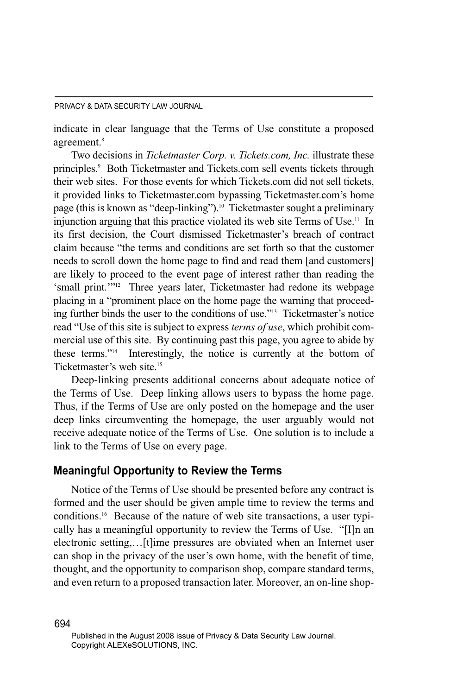indicate in clear language that the Terms of Use constitute a proposed agreement.<sup>8</sup>

Two decisions in *Ticketmaster Corp. v. Tickets.com, Inc.* illustrate these principles.<sup>9</sup> Both Ticketmaster and Tickets.com sell events tickets through their web sites. For those events for which Tickets.com did not sell tickets, it provided links to Ticketmaster.com bypassing Ticketmaster.com's home page (this is known as "deep-linking").10 Ticketmaster sought a preliminary injunction arguing that this practice violated its web site Terms of Use.<sup>11</sup> In its first decision, the Court dismissed Ticketmaster's breach of contract claim because "the terms and conditions are set forth so that the customer needs to scroll down the home page to find and read them [and customers] are likely to proceed to the event page of interest rather than reading the 'small print.'"12 Three years later, Ticketmaster had redone its webpage placing in a "prominent place on the home page the warning that proceeding further binds the user to the conditions of use."13 Ticketmaster's notice read "Use of this site is subject to express *terms of use*, which prohibit commercial use of this site. By continuing past this page, you agree to abide by these terms."14 Interestingly, the notice is currently at the bottom of Ticketmaster's web site.15

Deep-linking presents additional concerns about adequate notice of the Terms of Use. Deep linking allows users to bypass the home page. Thus, if the Terms of Use are only posted on the homepage and the user deep links circumventing the homepage, the user arguably would not receive adequate notice of the Terms of Use. One solution is to include a link to the Terms of Use on every page.

#### **Meaningful Opportunity to Review the Terms**

Notice of the Terms of Use should be presented before any contract is formed and the user should be given ample time to review the terms and conditions. <sup>16</sup> Because of the nature of web site transactions, a user typically has a meaningful opportunity to review the Terms of Use. "[I]n an electronic setting,…[t]ime pressures are obviated when an Internet user can shop in the privacy of the user's own home, with the benefit of time, thought, and the opportunity to comparison shop, compare standard terms, and even return to a proposed transaction later. Moreover, an on-line shop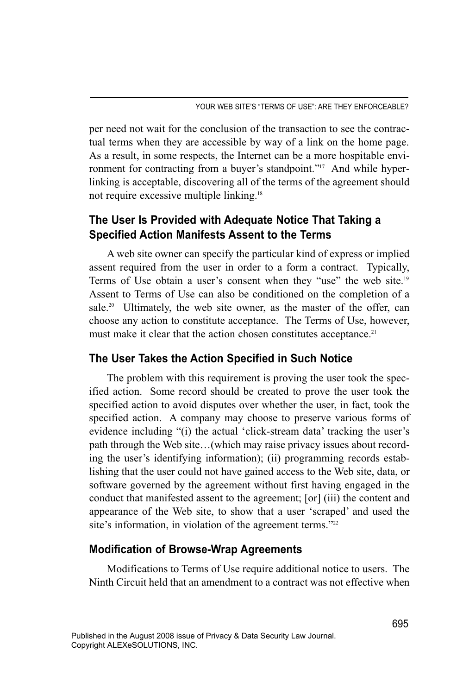per need not wait for the conclusion of the transaction to see the contractual terms when they are accessible by way of a link on the home page. As a result, in some respects, the Internet can be a more hospitable environment for contracting from a buyer's standpoint."<sup>17</sup> And while hyperlinking is acceptable, discovering all of the terms of the agreement should not require excessive multiple linking.18

### **The User Is Provided with Adequate Notice That Taking a Specified Action Manifests Assent to the Terms**

A web site owner can specify the particular kind of express or implied assent required from the user in order to a form a contract. Typically, Terms of Use obtain a user's consent when they "use" the web site.<sup>19</sup> Assent to Terms of Use can also be conditioned on the completion of a sale.<sup>20</sup> Ultimately, the web site owner, as the master of the offer, can choose any action to constitute acceptance. The Terms of Use, however, must make it clear that the action chosen constitutes acceptance.<sup>21</sup>

#### **The User Takes the Action Specified in Such Notice**

The problem with this requirement is proving the user took the specified action. Some record should be created to prove the user took the specified action to avoid disputes over whether the user, in fact, took the specified action. A company may choose to preserve various forms of evidence including "(i) the actual 'click-stream data' tracking the user's path through the Web site…(which may raise privacy issues about recording the user's identifying information); (ii) programming records establishing that the user could not have gained access to the Web site, data, or software governed by the agreement without first having engaged in the conduct that manifested assent to the agreement; [or] (iii) the content and appearance of the Web site, to show that a user 'scraped' and used the site's information, in violation of the agreement terms. $122$ 

#### **Modification of Browse-Wrap Agreements**

Modifications to Terms of Use require additional notice to users. The Ninth Circuit held that an amendment to a contract was not effective when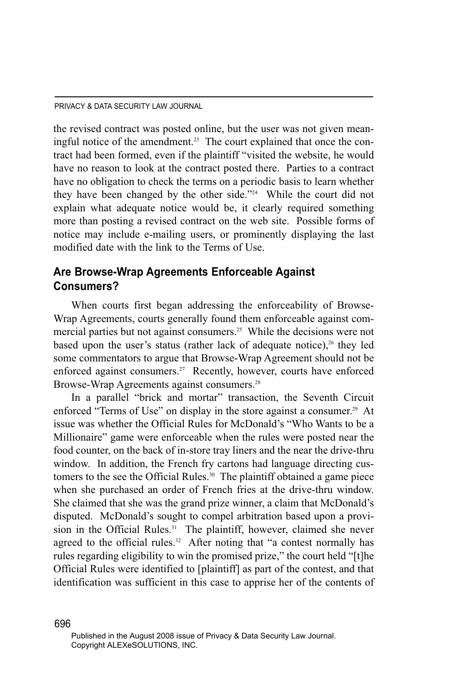the revised contract was posted online, but the user was not given meaningful notice of the amendment.<sup>23</sup> The court explained that once the contract had been formed, even if the plaintiff "visited the website, he would have no reason to look at the contract posted there. Parties to a contract have no obligation to check the terms on a periodic basis to learn whether they have been changed by the other side."24 While the court did not explain what adequate notice would be, it clearly required something more than posting a revised contract on the web site. Possible forms of notice may include e-mailing users, or prominently displaying the last modified date with the link to the Terms of Use.

#### **Are Browse-Wrap Agreements Enforceable Against Consumers?**

When courts first began addressing the enforceability of Browse-Wrap Agreements, courts generally found them enforceable against commercial parties but not against consumers.<sup>25</sup> While the decisions were not based upon the user's status (rather lack of adequate notice), $26$  they led some commentators to argue that Browse-Wrap Agreement should not be enforced against consumers.<sup>27</sup> Recently, however, courts have enforced Browse-Wrap Agreements against consumers.<sup>28</sup>

In a parallel "brick and mortar" transaction, the Seventh Circuit enforced "Terms of Use" on display in the store against a consumer.<sup>29</sup> At issue was whether the Official Rules for McDonald's "Who Wants to be a Millionaire" game were enforceable when the rules were posted near the food counter, on the back of in-store tray liners and the near the drive-thru window. In addition, the French fry cartons had language directing customers to the see the Official Rules.<sup>30</sup> The plaintiff obtained a game piece when she purchased an order of French fries at the drive-thru window. She claimed that she was the grand prize winner, a claim that McDonald's disputed. McDonald's sought to compel arbitration based upon a provision in the Official Rules.<sup>31</sup> The plaintiff, however, claimed she never agreed to the official rules.<sup>32</sup> After noting that "a contest normally has rules regarding eligibility to win the promised prize," the court held "[t]he Official Rules were identified to [plaintiff] as part of the contest, and that identification was sufficient in this case to apprise her of the contents of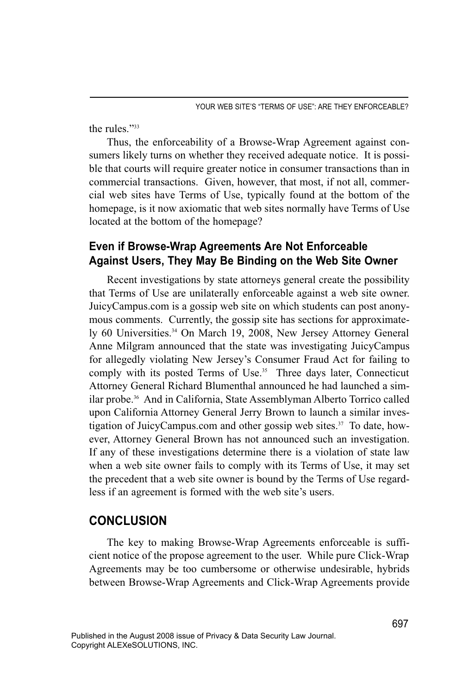the rules."33

Thus, the enforceability of a Browse-Wrap Agreement against consumers likely turns on whether they received adequate notice. It is possible that courts will require greater notice in consumer transactions than in commercial transactions. Given, however, that most, if not all, commercial web sites have Terms of Use, typically found at the bottom of the homepage, is it now axiomatic that web sites normally have Terms of Use located at the bottom of the homepage?

#### **Even if Browse-Wrap Agreements Are Not Enforceable Against Users, They May Be Binding on the Web Site Owner**

Recent investigations by state attorneys general create the possibility that Terms of Use are unilaterally enforceable against a web site owner. JuicyCampus.com is a gossip web site on which students can post anonymous comments. Currently, the gossip site has sections for approximately 60 Universities. <sup>34</sup> On March 19, 2008, New Jersey Attorney General Anne Milgram announced that the state was investigating JuicyCampus for allegedly violating New Jersey's Consumer Fraud Act for failing to comply with its posted Terms of Use. <sup>35</sup> Three days later, Connecticut Attorney General Richard Blumenthal announced he had launched a similar probe.<sup>36</sup> And in California, State Assemblyman Alberto Torrico called upon California Attorney General Jerry Brown to launch a similar investigation of JuicyCampus.com and other gossip web sites.<sup>37</sup> To date, however, Attorney General Brown has not announced such an investigation. If any of these investigations determine there is a violation of state law when a web site owner fails to comply with its Terms of Use, it may set the precedent that a web site owner is bound by the Terms of Use regardless if an agreement is formed with the web site's users.

#### **CONCLUSION**

The key to making Browse-Wrap Agreements enforceable is sufficient notice of the propose agreement to the user. While pure Click-Wrap Agreements may be too cumbersome or otherwise undesirable, hybrids between Browse-Wrap Agreements and Click-Wrap Agreements provide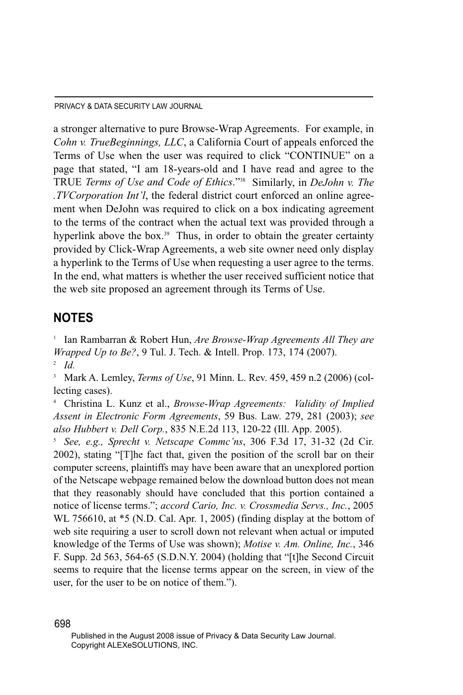a stronger alternative to pure Browse-Wrap Agreements. For example, in *Cohn v. TrueBeginnings, LLC*, a California Court of appeals enforced the Terms of Use when the user was required to click "CONTINUE" on a page that stated, "I am 18-years-old and I have read and agree to the TRUE *Terms of Use and Code of Ethics*."38 Similarly, in *DeJohn v. The .TVCorporation Int'l*, the federal district court enforced an online agreement when DeJohn was required to click on a box indicating agreement to the terms of the contract when the actual text was provided through a hyperlink above the box.<sup>39</sup> Thus, in order to obtain the greater certainty provided by Click-Wrap Agreements, a web site owner need only display a hyperlink to the Terms of Use when requesting a user agree to the terms. In the end, what matters is whether the user received sufficient notice that the web site proposed an agreement through its Terms of Use.

#### **NOTES**

<sup>1</sup> Ian Rambarran & Robert Hun, *Are Browse-Wrap Agreements All They are Wrapped Up to Be?*, 9 Tul. J. Tech. & Intell. Prop. 173, 174 (2007). <sup>2</sup> *Id.*

<sup>3</sup> Mark A. Lemley, *Terms of Use*, 91 Minn. L. Rev. 459, 459 n.2 (2006) (collecting cases).

<sup>4</sup> Christina L. Kunz et al., *Browse-Wrap Agreements: Validity of Implied Assent in Electronic Form Agreements*, 59 Bus. Law. 279, 281 (2003); *see also Hubbert v. Dell Corp.*, 835 N.E.2d 113, 120-22 (Ill. App. 2005).

<sup>5</sup> *See, e.g., Sprecht v. Netscape Commc'ns*, 306 F.3d 17, 31-32 (2d Cir. 2002), stating "[T]he fact that, given the position of the scroll bar on their computer screens, plaintiffs may have been aware that an unexplored portion of the Netscape webpage remained below the download button does not mean that they reasonably should have concluded that this portion contained a notice of license terms."; *accord Cario, Inc. v. Crossmedia Servs., Inc.*, 2005 WL 756610, at \*5 (N.D. Cal. Apr. 1, 2005) (finding display at the bottom of web site requiring a user to scroll down not relevant when actual or imputed knowledge of the Terms of Use was shown); *Motise v. Am. Online, Inc.*, 346 F. Supp. 2d 563, 564-65 (S.D.N.Y. 2004) (holding that "[t]he Second Circuit seems to require that the license terms appear on the screen, in view of the user, for the user to be on notice of them.").

Published in the August 2008 issue of Privacy & Data Security Law Journal. Copyright ALEXeSOLUTIONS, INC.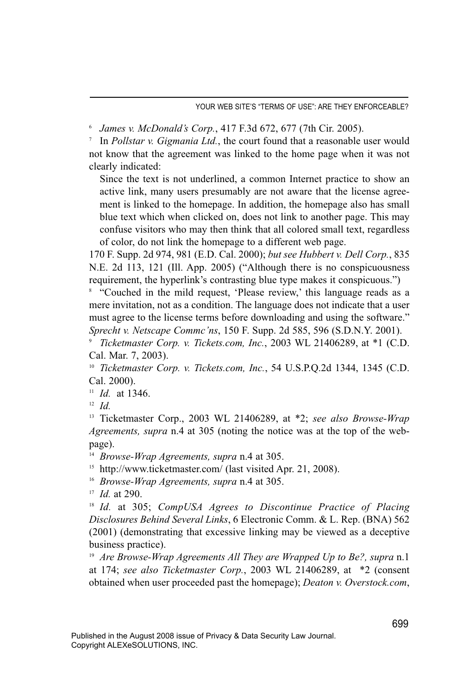<sup>6</sup> *James v. McDonald's Corp.*, 417 F.3d 672, 677 (7th Cir. 2005).

<sup>7</sup> In *Pollstar v. Gigmania Ltd.*, the court found that a reasonable user would not know that the agreement was linked to the home page when it was not clearly indicated:

Since the text is not underlined, a common Internet practice to show an active link, many users presumably are not aware that the license agreement is linked to the homepage. In addition, the homepage also has small blue text which when clicked on, does not link to another page. This may confuse visitors who may then think that all colored small text, regardless of color, do not link the homepage to a different web page.

170 F. Supp. 2d 974, 981 (E.D. Cal. 2000); *but see Hubbert v. Dell Corp.*, 835 N.E. 2d 113, 121 (Ill. App. 2005) ("Although there is no conspicuousness requirement, the hyperlink's contrasting blue type makes it conspicuous.")

<sup>8</sup> "Couched in the mild request, 'Please review,' this language reads as a mere invitation, not as a condition. The language does not indicate that a user must agree to the license terms before downloading and using the software." *Sprecht v. Netscape Commc'ns*, 150 F. Supp. 2d 585, 596 (S.D.N.Y. 2001).

<sup>9</sup> *Ticketmaster Corp. v. Tickets.com, Inc.*, 2003 WL 21406289, at \*1 (C.D. Cal. Mar. 7, 2003).

<sup>10</sup> *Ticketmaster Corp. v. Tickets.com, Inc.*, 54 U.S.P.Q.2d 1344, 1345 (C.D. Cal. 2000).

 $11$  *Id.* at 1346.

<sup>12</sup> *Id.*

<sup>13</sup> Ticketmaster Corp., 2003 WL 21406289, at \*2; *see also Browse-Wrap Agreements, supra* n.4 at 305 (noting the notice was at the top of the webpage).

<sup>14</sup> *Browse-Wrap Agreements, supra* n.4 at 305.

<sup>15</sup> http://www.ticketmaster.com/ (last visited Apr. 21, 2008).

<sup>16</sup> *Browse-Wrap Agreements, supra* n.4 at 305.

<sup>17</sup> *Id.* at 290.

<sup>18</sup> *Id.* at 305; *CompUSA Agrees to Discontinue Practice of Placing Disclosures Behind Several Links*, 6 Electronic Comm. & L. Rep. (BNA) 562 (2001) (demonstrating that excessive linking may be viewed as a deceptive business practice).

<sup>19</sup> *Are Browse-Wrap Agreements All They are Wrapped Up to Be?, supra* n.1 at 174; *see also Ticketmaster Corp.*, 2003 WL 21406289, at \*2 (consent obtained when user proceeded past the homepage); *Deaton v. Overstock.com*,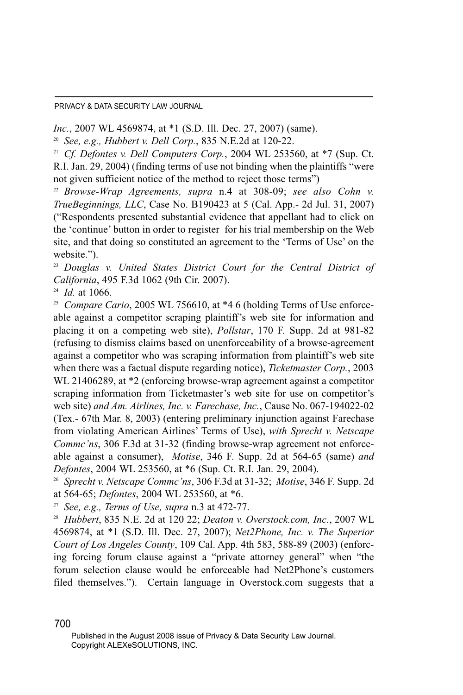*Inc.*, 2007 WL 4569874, at \*1 (S.D. Ill. Dec. 27, 2007) (same).

<sup>20</sup> *See, e.g., Hubbert v. Dell Corp.*, 835 N.E.2d at 120-22.

<sup>21</sup> *Cf. Defontes v. Dell Computers Corp.*, 2004 WL 253560, at \*7 (Sup. Ct. R.I. Jan. 29, 2004) (finding terms of use not binding when the plaintiffs "were not given sufficient notice of the method to reject those terms")

<sup>22</sup> *Browse-Wrap Agreements, supra* n.4 at 308-09; *see also Cohn v. TrueBeginnings, LLC*, Case No. B190423 at 5 (Cal. App.- 2d Jul. 31, 2007) ("Respondents presented substantial evidence that appellant had to click on the 'continue' button in order to register for his trial membership on the Web site, and that doing so constituted an agreement to the 'Terms of Use' on the website.").

<sup>23</sup> *Douglas v. United States District Court for the Central District of California*, 495 F.3d 1062 (9th Cir. 2007).

<sup>24</sup> *Id.* at 1066.

<sup>25</sup> *Compare Cario*, 2005 WL 756610, at \*4 6 (holding Terms of Use enforceable against a competitor scraping plaintiff's web site for information and placing it on a competing web site), *Pollstar*, 170 F. Supp. 2d at 981-82 (refusing to dismiss claims based on unenforceability of a browse-agreement against a competitor who was scraping information from plaintiff's web site when there was a factual dispute regarding notice), *Ticketmaster Corp.*, 2003 WL 21406289, at \*2 (enforcing browse-wrap agreement against a competitor scraping information from Ticketmaster's web site for use on competitor's web site) *and Am. Airlines, Inc. v. Farechase, Inc.*, Cause No. 067-194022-02 (Tex.- 67th Mar. 8, 2003) (entering preliminary injunction against Farechase from violating American Airlines' Terms of Use), *with Sprecht v. Netscape Commc'ns*, 306 F.3d at 31-32 (finding browse-wrap agreement not enforceable against a consumer), *Motise*, 346 F. Supp. 2d at 564-65 (same) *and Defontes*, 2004 WL 253560, at \*6 (Sup. Ct. R.I. Jan. 29, 2004).

<sup>26</sup> *Sprecht v. Netscape Commc'ns*, 306 F.3d at 31-32; *Motise*, 346 F. Supp. 2d at 564-65; *Defontes*, 2004 WL 253560, at \*6.

<sup>27</sup> *See, e.g., Terms of Use, supra* n.3 at 472-77.

<sup>28</sup> *Hubbert*, 835 N.E. 2d at 120 22; *Deaton v. Overstock.com, Inc.*, 2007 WL 4569874, at \*1 (S.D. Ill. Dec. 27, 2007); *Net2Phone, Inc. v. The Superior Court of Los Angeles County*, 109 Cal. App. 4th 583, 588-89 (2003) (enforcing forcing forum clause against a "private attorney general" when "the forum selection clause would be enforceable had Net2Phone's customers filed themselves."). Certain language in Overstock.com suggests that a